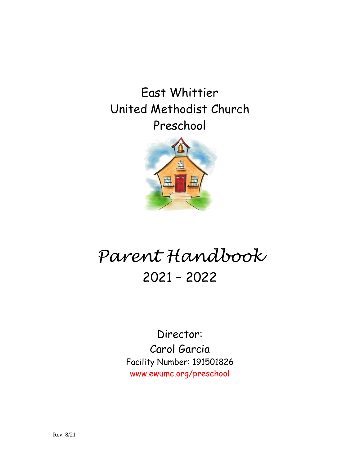East Whittier United Methodist Church Preschool



# *Parent Handbook* 2021 – 2022

Director: Carol Garcia Facility Number: 191501826 www.ewumc.org/preschool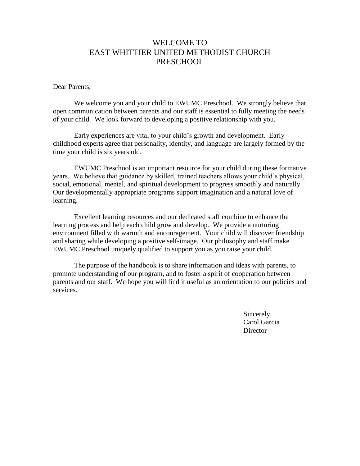# WELCOME TO EAST WHITTIER UNITED METHODIST CHURCH **PRESCHOOL**

#### Dear Parents,

We welcome you and your child to EWUMC Preschool. We strongly believe that open communication between parents and our staff is essential to fully meeting the needs of your child. We look forward to developing a positive relationship with you.

Early experiences are vital to your child's growth and development. Early childhood experts agree that personality, identity, and language are largely formed by the time your child is six years old.

EWUMC Preschool is an important resource for your child during these formative years. We believe that guidance by skilled, trained teachers allows your child's physical, social, emotional, mental, and spiritual development to progress smoothly and naturally. Our developmentally appropriate programs support imagination and a natural love of learning.

Excellent learning resources and our dedicated staff combine to enhance the learning process and help each child grow and develop. We provide a nurturing environment filled with warmth and encouragement. Your child will discover friendship and sharing while developing a positive self-image. Our philosophy and staff make EWUMC Preschool uniquely qualified to support you as you raise your child.

The purpose of the handbook is to share information and ideas with parents, to promote understanding of our program, and to foster a spirit of cooperation between parents and our staff. We hope you will find it useful as an orientation to our policies and services.

> Sincerely, Carol Garcia **Director**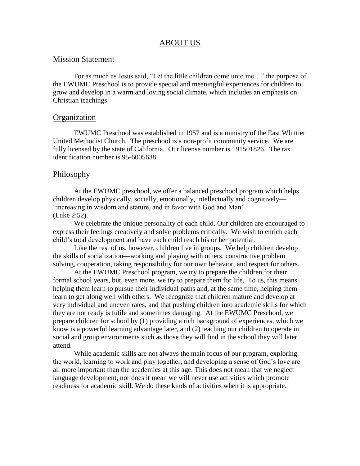## ABOUT US

#### Mission Statement

For as much as Jesus said, "Let the little children come unto me…" the purpose of the EWUMC Preschool is to provide special and meaningful experiences for children to grow and develop in a warm and loving social climate, which includes an emphasis on Christian teachings.

#### **Organization**

EWUMC Preschool was established in 1957 and is a ministry of the East Whittier United Methodist Church. The preschool is a non-profit community service. We are fully licensed by the state of California. Our license number is 191501826. The tax identification number is 95-6005638.

#### Philosophy

At the EWUMC preschool, we offer a balanced preschool program which helps children develop physically, socially, emotionally, intellectually and cognitively— "increasing in wisdom and stature, and in favor with God and Man" (Luke 2:52).

We celebrate the unique personality of each child. Our children are encouraged to express their feelings creatively and solve problems critically. We wish to enrich each child's total development and have each child reach his or her potential.

Like the rest of us, however, children live in groups. We help children develop the skills of socialization—working and playing with others, constructive problem solving, cooperation, taking responsibility for our own behavior, and respect for others.

At the EWUMC Preschool program, we try to prepare the children for their formal school years, but, even more, we try to prepare them for life. To us, this means helping them learn to pursue their individual paths and, at the same time, helping them learn to get along well with others. We recognize that children mature and develop at very individual and uneven rates, and that pushing children into academic skills for which they are not ready is futile and sometimes damaging. At the EWUMC Preschool, we prepare children for school by (1) providing a rich background of experiences, which we know is a powerful learning advantage later, and (2) teaching our children to operate in social and group environments such as those they will find in the school they will later attend.

While academic skills are not always the main focus of our program, exploring the world, learning to work and play together, and developing a sense of God's love are all more important than the academics at this age. This does not mean that we neglect language development, nor does it mean we will never use activities which promote readiness for academic skill. We do these kinds of activities when it is appropriate.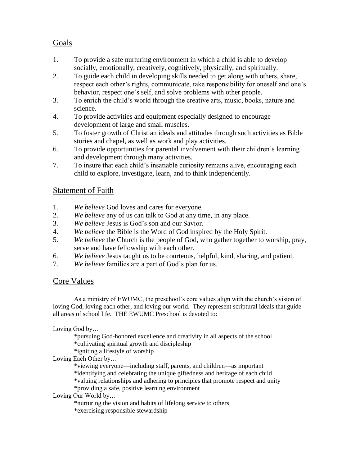# Goals

- 1. To provide a safe nurturing environment in which a child is able to develop socially, emotionally, creatively, cognitively, physically, and spiritually.
- 2. To guide each child in developing skills needed to get along with others, share, respect each other's rights, communicate, take responsibility for oneself and one's behavior, respect one's self, and solve problems with other people.
- 3. To enrich the child's world through the creative arts, music, books, nature and science.
- 4. To provide activities and equipment especially designed to encourage development of large and small muscles.
- 5. To foster growth of Christian ideals and attitudes through such activities as Bible stories and chapel, as well as work and play activities.
- 6. To provide opportunities for parental involvement with their children's learning and development through many activities.
- 7. To insure that each child's insatiable curiosity remains alive, encouraging each child to explore, investigate, learn, and to think independently.

# **Statement of Faith**

- 1. *We believe* God loves and cares for everyone.
- 2. *We believe* any of us can talk to God at any time, in any place.
- 3. *We believe* Jesus is God's son and our Savior.
- 4. *We believe* the Bible is the Word of God inspired by the Holy Spirit.
- 5. *We believe* the Church is the people of God, who gather together to worship, pray, serve and have fellowship with each other.
- 6. *We believe* Jesus taught us to be courteous, helpful, kind, sharing, and patient.
- 7. *We believe* families are a part of God's plan for us.

# Core Values

As a ministry of EWUMC, the preschool's core values align with the church's vision of loving God, loving each other, and loving our world. They represent scriptural ideals that guide all areas of school life. THE EWUMC Preschool is devoted to:

Loving God by…

\*pursuing God-honored excellence and creativity in all aspects of the school \*cultivating spiritual growth and discipleship

\*igniting a lifestyle of worship

Loving Each Other by…

\*viewing everyone—including staff, parents, and children—as important \*identifying and celebrating the unique giftedness and heritage of each child \*valuing relationships and adhering to principles that promote respect and unity \*providing a safe, positive learning environment

## Loving Our World by…

\*nurturing the vision and habits of lifelong service to others \*exercising responsible stewardship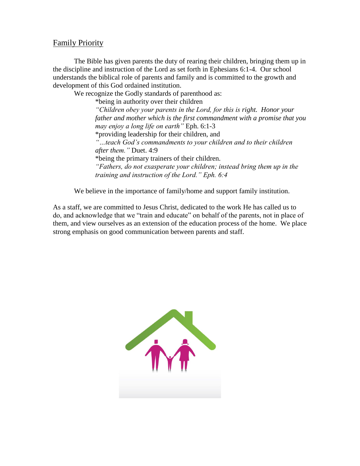# Family Priority

The Bible has given parents the duty of rearing their children, bringing them up in the discipline and instruction of the Lord as set forth in Ephesians 6:1-4. Our school understands the biblical role of parents and family and is committed to the growth and development of this God ordained institution.

We recognize the Godly standards of parenthood as:

\*being in authority over their children

*"Children obey your parents in the Lord, for this is right. Honor your father and mother which is the first commandment with a promise that you may enjoy a long life on earth"* Eph. 6:1-3 \*providing leadership for their children, and *"…teach God's commandments to your children and to their children after them."* Duet. 4:9 \*being the primary trainers of their children. *"Fathers, do not exasperate your children; instead bring them up in the training and instruction of the Lord." Eph. 6:4*

We believe in the importance of family/home and support family institution.

As a staff, we are committed to Jesus Christ, dedicated to the work He has called us to do, and acknowledge that we "train and educate" on behalf of the parents, not in place of them, and view ourselves as an extension of the education process of the home. We place strong emphasis on good communication between parents and staff.

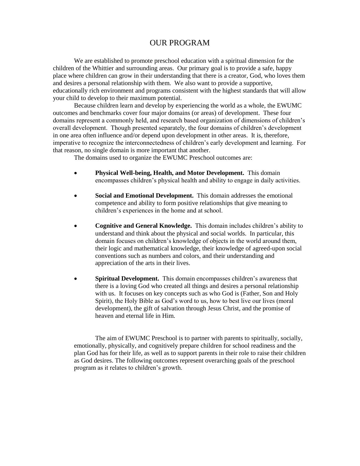# OUR PROGRAM

We are established to promote preschool education with a spiritual dimension for the children of the Whittier and surrounding areas. Our primary goal is to provide a safe, happy place where children can grow in their understanding that there is a creator, God, who loves them and desires a personal relationship with them. We also want to provide a supportive, educationally rich environment and programs consistent with the highest standards that will allow your child to develop to their maximum potential.

Because children learn and develop by experiencing the world as a whole, the EWUMC outcomes and benchmarks cover four major domains (or areas) of development. These four domains represent a commonly held, and research based organization of dimensions of children's overall development. Though presented separately, the four domains of children's development in one area often influence and/or depend upon development in other areas. It is, therefore, imperative to recognize the interconnectedness of children's early development and learning. For that reason, no single domain is more important that another.

The domains used to organize the EWUMC Preschool outcomes are:

- **Physical Well-being, Health, and Motor Development.** This domain encompasses children's physical health and ability to engage in daily activities.
- **Social and Emotional Development.** This domain addresses the emotional competence and ability to form positive relationships that give meaning to children's experiences in the home and at school.
- **Cognitive and General Knowledge.** This domain includes children's ability to understand and think about the physical and social worlds. In particular, this domain focuses on children's knowledge of objects in the world around them, their logic and mathematical knowledge, their knowledge of agreed-upon social conventions such as numbers and colors, and their understanding and appreciation of the arts in their lives.
- **Spiritual Development.** This domain encompasses children's awareness that there is a loving God who created all things and desires a personal relationship with us. It focuses on key concepts such as who God is (Father, Son and Holy Spirit), the Holy Bible as God's word to us, how to best live our lives (moral development), the gift of salvation through Jesus Christ, and the promise of heaven and eternal life in Him.

The aim of EWUMC Preschool is to partner with parents to spiritually, socially, emotionally, physically, and cognitively prepare children for school readiness and the plan God has for their life, as well as to support parents in their role to raise their children as God desires. The following outcomes represent overarching goals of the preschool program as it relates to children's growth.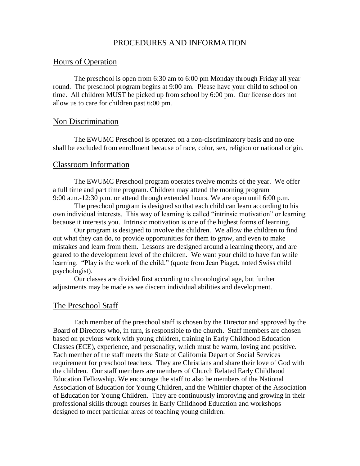## PROCEDURES AND INFORMATION

### Hours of Operation

The preschool is open from 6:30 am to 6:00 pm Monday through Friday all year round. The preschool program begins at 9:00 am. Please have your child to school on time. All children MUST be picked up from school by 6:00 pm. Our license does not allow us to care for children past 6:00 pm.

#### Non Discrimination

The EWUMC Preschool is operated on a non-discriminatory basis and no one shall be excluded from enrollment because of race, color, sex, religion or national origin.

#### Classroom Information

The EWUMC Preschool program operates twelve months of the year. We offer a full time and part time program. Children may attend the morning program 9:00 a.m.-12:30 p.m. or attend through extended hours. We are open until 6:00 p.m.

The preschool program is designed so that each child can learn according to his own individual interests. This way of learning is called "intrinsic motivation" or learning because it interests you. Intrinsic motivation is one of the highest forms of learning.

Our program is designed to involve the children. We allow the children to find out what they can do, to provide opportunities for them to grow, and even to make mistakes and learn from them. Lessons are designed around a learning theory, and are geared to the development level of the children. We want your child to have fun while learning. "Play is the work of the child." (quote from Jean Piaget, noted Swiss child psychologist).

Our classes are divided first according to chronological age, but further adjustments may be made as we discern individual abilities and development.

#### The Preschool Staff

Each member of the preschool staff is chosen by the Director and approved by the Board of Directors who, in turn, is responsible to the church. Staff members are chosen based on previous work with young children, training in Early Childhood Education Classes (ECE), experience, and personality, which must be warm, loving and positive. Each member of the staff meets the State of California Depart of Social Services requirement for preschool teachers. They are Christians and share their love of God with the children. Our staff members are members of Church Related Early Childhood Education Fellowship. We encourage the staff to also be members of the National Association of Education for Young Children, and the Whittier chapter of the Association of Education for Young Children. They are continuously improving and growing in their professional skills through courses in Early Childhood Education and workshops designed to meet particular areas of teaching young children.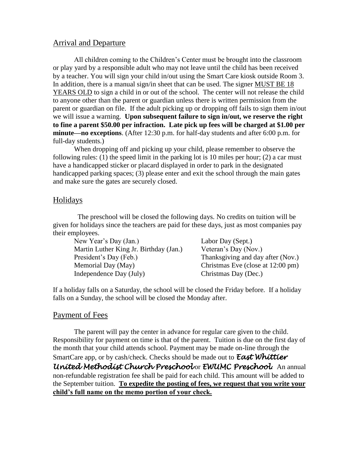# Arrival and Departure

All children coming to the Children's Center must be brought into the classroom or play yard by a responsible adult who may not leave until the child has been received by a teacher. You will sign your child in/out using the Smart Care kiosk outside Room 3. In addition, there is a manual sign/in sheet that can be used. The signer MUST BE 18 YEARS OLD to sign a child in or out of the school. The center will not release the child to anyone other than the parent or guardian unless there is written permission from the parent or guardian on file. If the adult picking up or dropping off fails to sign them in/out we will issue a warning. **Upon subsequent failure to sign in/out, we reserve the right to fine a parent \$50.00 per infraction. Late pick up fees will be charged at \$1.00 per minute—no exceptions**. (After 12:30 p.m. for half-day students and after 6:00 p.m. for full-day students.)

When dropping off and picking up your child, please remember to observe the following rules: (1) the speed limit in the parking lot is 10 miles per hour; (2) a car must have a handicapped sticker or placard displayed in order to park in the designated handicapped parking spaces; (3) please enter and exit the school through the main gates and make sure the gates are securely closed.

## Holidays

 The preschool will be closed the following days. No credits on tuition will be given for holidays since the teachers are paid for these days, just as most companies pay their employees.

New Year's Day (Jan.) Labor Day (Sept.) Martin Luther King Jr. Birthday (Jan.) Veteran's Day (Nov.) President's Day (Feb.) Thanksgiving and day after (Nov.) Memorial Day (May) Christmas Eve (close at 12:00 pm) Independence Day (July) Christmas Day (Dec.)

If a holiday falls on a Saturday, the school will be closed the Friday before. If a holiday falls on a Sunday, the school will be closed the Monday after.

# Payment of Fees

The parent will pay the center in advance for regular care given to the child. Responsibility for payment on time is that of the parent. Tuition is due on the first day of the month that your child attends school. Payment may be made on-line through the SmartCare app, or by cash/check. Checks should be made out to *East Whittier United Methodist Church Preschool* or *EWUMC Preschool***.** An annual non-refundable registration fee shall be paid for each child. This amount will be added to the September tuition. **To expedite the posting of fees, we request that you write your child's full name on the memo portion of your check.**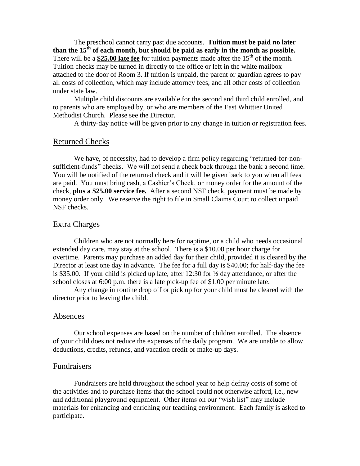The preschool cannot carry past due accounts. **Tuition must be paid no later than the 15th of each month, but should be paid as early in the month as possible.** There will be a  $$25.00$  late fee for tuition payments made after the  $15<sup>th</sup>$  of the month. Tuition checks may be turned in directly to the office or left in the white mailbox attached to the door of Room 3. If tuition is unpaid, the parent or guardian agrees to pay all costs of collection, which may include attorney fees, and all other costs of collection under state law.

Multiple child discounts are available for the second and third child enrolled, and to parents who are employed by, or who are members of the East Whittier United Methodist Church. Please see the Director.

A thirty-day notice will be given prior to any change in tuition or registration fees.

#### Returned Checks

We have, of necessity, had to develop a firm policy regarding "returned-for-nonsufficient-funds" checks. We will not send a check back through the bank a second time. You will be notified of the returned check and it will be given back to you when all fees are paid. You must bring cash, a Cashier's Check, or money order for the amount of the check, **plus a \$25.00 service fee.** After a second NSF check, payment must be made by money order only. We reserve the right to file in Small Claims Court to collect unpaid NSF checks.

#### Extra Charges

Children who are not normally here for naptime, or a child who needs occasional extended day care, may stay at the school. There is a \$10.00 per hour charge for overtime. Parents may purchase an added day for their child, provided it is cleared by the Director at least one day in advance. The fee for a full day is \$40.00; for half-day the fee is \$35.00. If your child is picked up late, after 12:30 for ½ day attendance, or after the school closes at 6:00 p.m. there is a late pick-up fee of \$1.00 per minute late.

Any change in routine drop off or pick up for your child must be cleared with the director prior to leaving the child.

#### Absences

Our school expenses are based on the number of children enrolled. The absence of your child does not reduce the expenses of the daily program. We are unable to allow deductions, credits, refunds, and vacation credit or make-up days.

#### Fundraisers

Fundraisers are held throughout the school year to help defray costs of some of the activities and to purchase items that the school could not otherwise afford, i.e., new and additional playground equipment. Other items on our "wish list" may include materials for enhancing and enriching our teaching environment. Each family is asked to participate.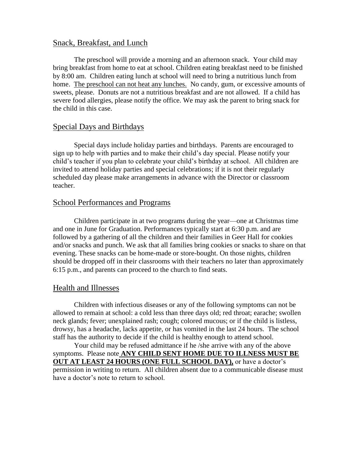## Snack, Breakfast, and Lunch

The preschool will provide a morning and an afternoon snack. Your child may bring breakfast from home to eat at school. Children eating breakfast need to be finished by 8:00 am. Children eating lunch at school will need to bring a nutritious lunch from home. The preschool can not heat any lunches. No candy, gum, or excessive amounts of sweets, please. Donuts are not a nutritious breakfast and are not allowed. If a child has severe food allergies, please notify the office. We may ask the parent to bring snack for the child in this case.

## Special Days and Birthdays

Special days include holiday parties and birthdays. Parents are encouraged to sign up to help with parties and to make their child's day special. Please notify your child's teacher if you plan to celebrate your child's birthday at school. All children are invited to attend holiday parties and special celebrations; if it is not their regularly scheduled day please make arrangements in advance with the Director or classroom teacher.

## School Performances and Programs

Children participate in at two programs during the year—one at Christmas time and one in June for Graduation. Performances typically start at 6:30 p.m. and are followed by a gathering of all the children and their families in Geer Hall for cookies and/or snacks and punch. We ask that all families bring cookies or snacks to share on that evening. These snacks can be home-made or store-bought. On those nights, children should be dropped off in their classrooms with their teachers no later than approximately 6:15 p.m., and parents can proceed to the church to find seats.

#### Health and Illnesses

Children with infectious diseases or any of the following symptoms can not be allowed to remain at school: a cold less than three days old; red throat; earache; swollen neck glands; fever; unexplained rash; cough; colored mucous; or if the child is listless, drowsy, has a headache, lacks appetite, or has vomited in the last 24 hours. The school staff has the authority to decide if the child is healthy enough to attend school.

Your child may be refused admittance if he /she arrive with any of the above symptoms. Please note **ANY CHILD SENT HOME DUE TO ILLNESS MUST BE OUT AT LEAST 24 HOURS (ONE FULL SCHOOL DAY),** or have a doctor's permission in writing to return. All children absent due to a communicable disease must have a doctor's note to return to school.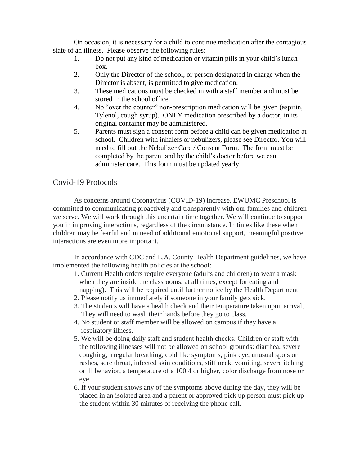On occasion, it is necessary for a child to continue medication after the contagious state of an illness. Please observe the following rules:

- 1. Do not put any kind of medication or vitamin pills in your child's lunch box.
- 2. Only the Director of the school, or person designated in charge when the Director is absent, is permitted to give medication.
- 3. These medications must be checked in with a staff member and must be stored in the school office.
- 4. No "over the counter" non-prescription medication will be given (aspirin, Tylenol, cough syrup). ONLY medication prescribed by a doctor, in its original container may be administered.
- 5. Parents must sign a consent form before a child can be given medication at school. Children with inhalers or nebulizers, please see Director. You will need to fill out the Nebulizer Care / Consent Form. The form must be completed by the parent and by the child's doctor before we can administer care. This form must be updated yearly.

# Covid-19 Protocols

As concerns around Coronavirus (COVID-19) increase, EWUMC Preschool is committed to communicating proactively and transparently with our families and children we serve. We will work through this uncertain time together. We will continue to support you in improving interactions, regardless of the circumstance. In times like these when children may be fearful and in need of additional emotional support, meaningful positive interactions are even more important.

In accordance with CDC and L.A. County Health Department guidelines, we have implemented the following health policies at the school:

- 1. Current Health orders require everyone (adults and children) to wear a mask when they are inside the classrooms, at all times, except for eating and napping). This will be required until further notice by the Health Department.
- 2. Please notify us immediately if someone in your family gets sick.
- 3. The students will have a health check and their temperature taken upon arrival, They will need to wash their hands before they go to class.
- 4. No student or staff member will be allowed on campus if they have a respiratory illness.
- 5. We will be doing daily staff and student health checks. Children or staff with the following illnesses will not be allowed on school grounds: diarrhea, severe coughing, irregular breathing, cold like symptoms, pink eye, unusual spots or rashes, sore throat, infected skin conditions, stiff neck, vomiting, severe itching or ill behavior, a temperature of a 100.4 or higher, color discharge from nose or eye.
- 6. If your student shows any of the symptoms above during the day, they will be placed in an isolated area and a parent or approved pick up person must pick up the student within 30 minutes of receiving the phone call.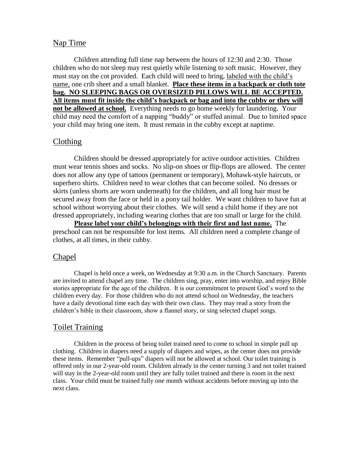#### Nap Time

Children attending full time nap between the hours of 12:30 and 2:30. Those children who do not sleep may rest quietly while listening to soft music. However, they must stay on the cot provided. Each child will need to bring, labeled with the child's name, one crib sheet and a small blanket. **Place these items in a backpack or cloth tote bag. NO SLEEPING BAGS OR OVERSIZED PILLOWS WILL BE ACCEPTED. All items must fit inside the child's backpack or bag and into the cubby or they will not be allowed at school.** Everything needs to go home weekly for laundering. Your child may need the comfort of a napping "buddy" or stuffed animal. Due to limited space your child may bring one item. It must remain in the cubby except at naptime.

#### Clothing

Children should be dressed appropriately for active outdoor activities. Children must wear tennis shoes and socks. No slip-on shoes or flip-flops are allowed. The center does not allow any type of tattoos (permanent or temporary), Mohawk-style haircuts, or superhero shirts. Children need to wear clothes that can become soiled. No dresses or skirts (unless shorts are worn underneath) for the children, and all long hair must be secured away from the face or held in a pony tail holder. We want children to have fun at school without worrying about their clothes. We will send a child home if they are not dressed appropriately, including wearing clothes that are too small or large for the child.

**Please label your child's belongings with their first and last name.** The preschool can not be responsible for lost items. All children need a complete change of clothes, at all times, in their cubby.

### Chapel

Chapel is held once a week, on Wednesday at 9:30 a.m. in the Church Sanctuary. Parents are invited to attend chapel any time. The children sing, pray, enter into worship, and enjoy Bible stories appropriate for the age of the children. It is our commitment to present God's word to the children every day. For those children who do not attend school on Wednesday, the teachers have a daily devotional time each day with their own class. They may read a story from the children's bible in their classroom, show a flannel story, or sing selected chapel songs.

#### Toilet Training

Children in the process of being toilet trained need to come to school in simple pull up clothing. Children in diapers need a supply of diapers and wipes, as the center does not provide these items. Remember "pull-ups" diapers will not be allowed at school. Our toilet training is offered only in our 2-year-old room. Children already in the center turning 3 and not toilet trained will stay in the 2-year-old room until they are fully toilet trained and there is room in the next class. Your child must be trained fully one month without accidents before moving up into the next class.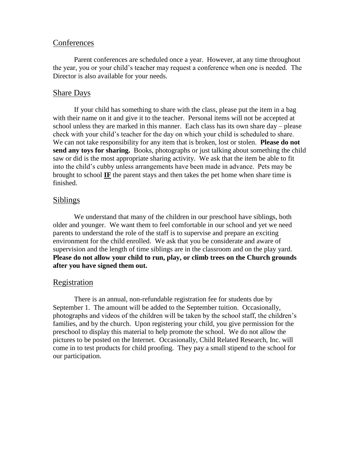#### **Conferences**

Parent conferences are scheduled once a year. However, at any time throughout the year, you or your child's teacher may request a conference when one is needed. The Director is also available for your needs.

## Share Days

If your child has something to share with the class, please put the item in a bag with their name on it and give it to the teacher. Personal items will not be accepted at school unless they are marked in this manner. Each class has its own share day – please check with your child's teacher for the day on which your child is scheduled to share. We can not take responsibility for any item that is broken, lost or stolen. **Please do not send any toys for sharing.** Books, photographs or just talking about something the child saw or did is the most appropriate sharing activity. We ask that the item be able to fit into the child's cubby unless arrangements have been made in advance. Pets may be brought to school **IF** the parent stays and then takes the pet home when share time is finished.

## Siblings

We understand that many of the children in our preschool have siblings, both older and younger. We want them to feel comfortable in our school and yet we need parents to understand the role of the staff is to supervise and prepare an exciting environment for the child enrolled. We ask that you be considerate and aware of supervision and the length of time siblings are in the classroom and on the play yard. **Please do not allow your child to run, play, or climb trees on the Church grounds after you have signed them out.**

#### Registration

There is an annual, non-refundable registration fee for students due by September 1. The amount will be added to the September tuition. Occasionally, photographs and videos of the children will be taken by the school staff, the children's families, and by the church. Upon registering your child, you give permission for the preschool to display this material to help promote the school. We do not allow the pictures to be posted on the Internet. Occasionally, Child Related Research, Inc. will come in to test products for child proofing. They pay a small stipend to the school for our participation.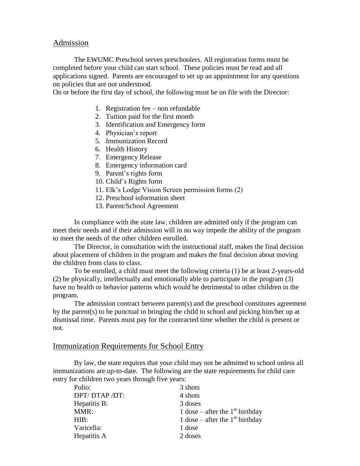## Admission

The EWUMC Preschool serves preschoolers. All registration forms must be completed before your child can start school. These policies must be read and all applications signed. Parents are encouraged to set up an appointment for any questions on policies that are not understood.

On or before the first day of school, the following must be on file with the Director:

- 1. Registration fee non refundable
- 2. Tuition paid for the first month
- 3. Identification and Emergency form
- 4. Physician's report
- 5. Immunization Record
- 6. Health History
- 7. Emergency Release
- 8. Emergency information card
- 9. Parent's rights form
- 10. Child's Rights form
- 11. Elk's Lodge Vision Screen permission forms (2)
- 12. Preschool information sheet
- 13. Parent/School Agreement

In compliance with the state law, children are admitted only if the program can meet their needs and if their admission will in no way impede the ability of the program to meet the needs of the other children enrolled.

The Director, in consultation with the instructional staff, makes the final decision about placement of children in the program and makes the final decision about moving the children from class to class.

To be enrolled, a child must meet the following criteria (1) be at least 2-years-old (2) be physically, intellectually and emotionally able to participate in the program (3) have no health or behavior patterns which would be detrimental to other children in the program.

The admission contract between parent(s) and the preschool constitutes agreement by the parent(s) to be punctual in bringing the child to school and picking him/her up at dismissal time. Parents must pay for the contracted time whether the child is present or not.

## Immunization Requirements for School Entry

By law, the state requires that your child may not be admitted to school unless all immunizations are up-to-date. The following are the state requirements for child care entry for children two years through five years:

| Polio:       | 3 shots                           |
|--------------|-----------------------------------|
| DPT/DTAP/DT: | 4 shots                           |
| Hepatitis B: | 3 doses                           |
| MMR:         | 1 dose – after the $1st$ birthday |
| HIB:         | 1 dose – after the $1st$ birthday |
| Varicella:   | 1 dose                            |
| Hepatitis A  | 2 doses                           |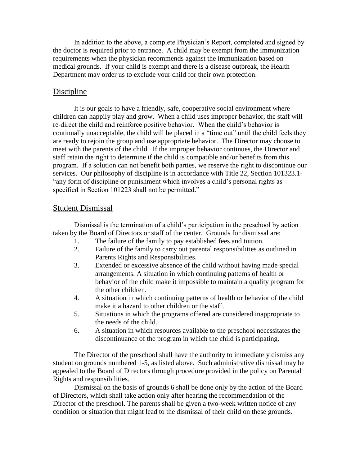In addition to the above, a complete Physician's Report, completed and signed by the doctor is required prior to entrance. A child may be exempt from the immunization requirements when the physician recommends against the immunization based on medical grounds. If your child is exempt and there is a disease outbreak, the Health Department may order us to exclude your child for their own protection.

# Discipline

It is our goals to have a friendly, safe, cooperative social environment where children can happily play and grow. When a child uses improper behavior, the staff will re-direct the child and reinforce positive behavior. When the child's behavior is continually unacceptable, the child will be placed in a "time out" until the child feels they are ready to rejoin the group and use appropriate behavior. The Director may choose to meet with the parents of the child. If the improper behavior continues, the Director and staff retain the right to determine if the child is compatible and/or benefits from this program. If a solution can not benefit both parties, we reserve the right to discontinue our services. Our philosophy of discipline is in accordance with Title 22, Section 101323.1- "any form of discipline or punishment which involves a child's personal rights as specified in Section 101223 shall not be permitted."

## Student Dismissal

Dismissal is the termination of a child's participation in the preschool by action taken by the Board of Directors or staff of the center. Grounds for dismissal are:

- 1. The failure of the family to pay established fees and tuition.
- 2. Failure of the family to carry out parental responsibilities as outlined in Parents Rights and Responsibilities.
- 3. Extended or excessive absence of the child without having made special arrangements. A situation in which continuing patterns of health or behavior of the child make it impossible to maintain a quality program for the other children.
- 4. A situation in which continuing patterns of health or behavior of the child make it a hazard to other children or the staff.
- 5. Situations in which the programs offered are considered inappropriate to the needs of the child.
- 6. A situation in which resources available to the preschool necessitates the discontinuance of the program in which the child is participating.

The Director of the preschool shall have the authority to immediately dismiss any student on grounds numbered 1-5, as listed above. Such administrative dismissal may be appealed to the Board of Directors through procedure provided in the policy on Parental Rights and responsibilities.

Dismissal on the basis of grounds 6 shall be done only by the action of the Board of Directors, which shall take action only after hearing the recommendation of the Director of the preschool. The parents shall be given a two-week written notice of any condition or situation that might lead to the dismissal of their child on these grounds.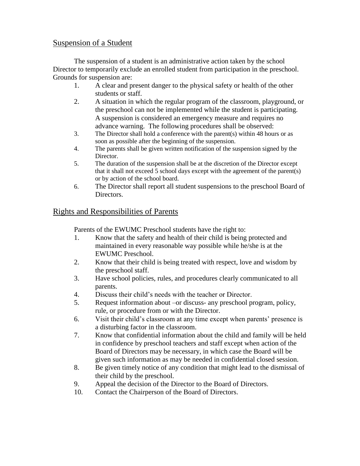# Suspension of a Student

The suspension of a student is an administrative action taken by the school Director to temporarily exclude an enrolled student from participation in the preschool. Grounds for suspension are:

- 1. A clear and present danger to the physical safety or health of the other students or staff.
- 2. A situation in which the regular program of the classroom, playground, or the preschool can not be implemented while the student is participating. A suspension is considered an emergency measure and requires no advance warning. The following procedures shall be observed:
- 3. The Director shall hold a conference with the parent(s) within 48 hours or as soon as possible after the beginning of the suspension.
- 4. The parents shall be given written notification of the suspension signed by the Director.
- 5. The duration of the suspension shall be at the discretion of the Director except that it shall not exceed 5 school days except with the agreement of the parent(s) or by action of the school board.
- 6. The Director shall report all student suspensions to the preschool Board of Directors.

# Rights and Responsibilities of Parents

Parents of the EWUMC Preschool students have the right to:

- 1. Know that the safety and health of their child is being protected and maintained in every reasonable way possible while he/she is at the EWUMC Preschool.
- 2. Know that their child is being treated with respect, love and wisdom by the preschool staff.
- 3. Have school policies, rules, and procedures clearly communicated to all parents.
- 4. Discuss their child's needs with the teacher or Director.
- 5. Request information about –or discuss- any preschool program, policy, rule, or procedure from or with the Director.
- 6. Visit their child's classroom at any time except when parents' presence is a disturbing factor in the classroom.
- 7. Know that confidential information about the child and family will be held in confidence by preschool teachers and staff except when action of the Board of Directors may be necessary, in which case the Board will be given such information as may be needed in confidential closed session.
- 8. Be given timely notice of any condition that might lead to the dismissal of their child by the preschool.
- 9. Appeal the decision of the Director to the Board of Directors.
- 10. Contact the Chairperson of the Board of Directors.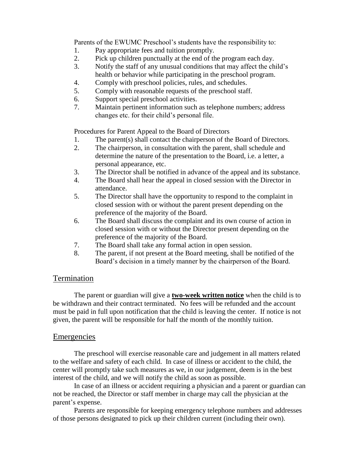Parents of the EWUMC Preschool's students have the responsibility to:

- 1. Pay appropriate fees and tuition promptly.
- 2. Pick up children punctually at the end of the program each day.
- 3. Notify the staff of any unusual conditions that may affect the child's health or behavior while participating in the preschool program.
- 4. Comply with preschool policies, rules, and schedules.
- 5. Comply with reasonable requests of the preschool staff.
- 6. Support special preschool activities.
- 7. Maintain pertinent information such as telephone numbers; address changes etc. for their child's personal file.

Procedures for Parent Appeal to the Board of Directors

- 1. The parent(s) shall contact the chairperson of the Board of Directors.
- 2. The chairperson, in consultation with the parent, shall schedule and determine the nature of the presentation to the Board, i.e. a letter, a personal appearance, etc.
- 3. The Director shall be notified in advance of the appeal and its substance.
- 4. The Board shall hear the appeal in closed session with the Director in attendance.
- 5. The Director shall have the opportunity to respond to the complaint in closed session with or without the parent present depending on the preference of the majority of the Board.
- 6. The Board shall discuss the complaint and its own course of action in closed session with or without the Director present depending on the preference of the majority of the Board.
- 7. The Board shall take any formal action in open session.
- 8. The parent, if not present at the Board meeting, shall be notified of the Board's decision in a timely manner by the chairperson of the Board.

# Termination

The parent or guardian will give a **two-week written notice** when the child is to be withdrawn and their contract terminated. No fees will be refunded and the account must be paid in full upon notification that the child is leaving the center. If notice is not given, the parent will be responsible for half the month of the monthly tuition.

## **Emergencies**

The preschool will exercise reasonable care and judgement in all matters related to the welfare and safety of each child. In case of illness or accident to the child, the center will promptly take such measures as we, in our judgement, deem is in the best interest of the child, and we will notify the child as soon as possible.

In case of an illness or accident requiring a physician and a parent or guardian can not be reached, the Director or staff member in charge may call the physician at the parent's expense.

Parents are responsible for keeping emergency telephone numbers and addresses of those persons designated to pick up their children current (including their own).